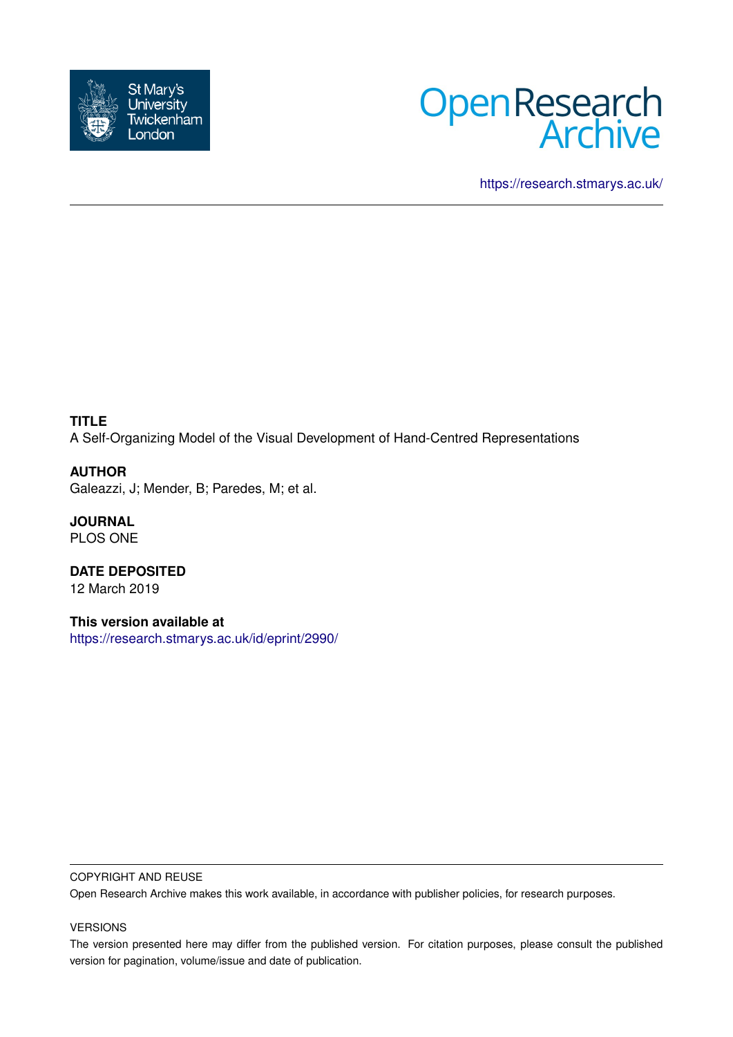



<https://research.stmarys.ac.uk/>

# **TITLE**

A Self-Organizing Model of the Visual Development of Hand-Centred Representations

# **AUTHOR**

Galeazzi, J; Mender, B; Paredes, M; et al.

**JOURNAL** PLOS ONE

**DATE DEPOSITED** 12 March 2019

**This version available at** <https://research.stmarys.ac.uk/id/eprint/2990/>

# COPYRIGHT AND REUSE

Open Research Archive makes this work available, in accordance with publisher policies, for research purposes.

# VERSIONS

The version presented here may differ from the published version. For citation purposes, please consult the published version for pagination, volume/issue and date of publication.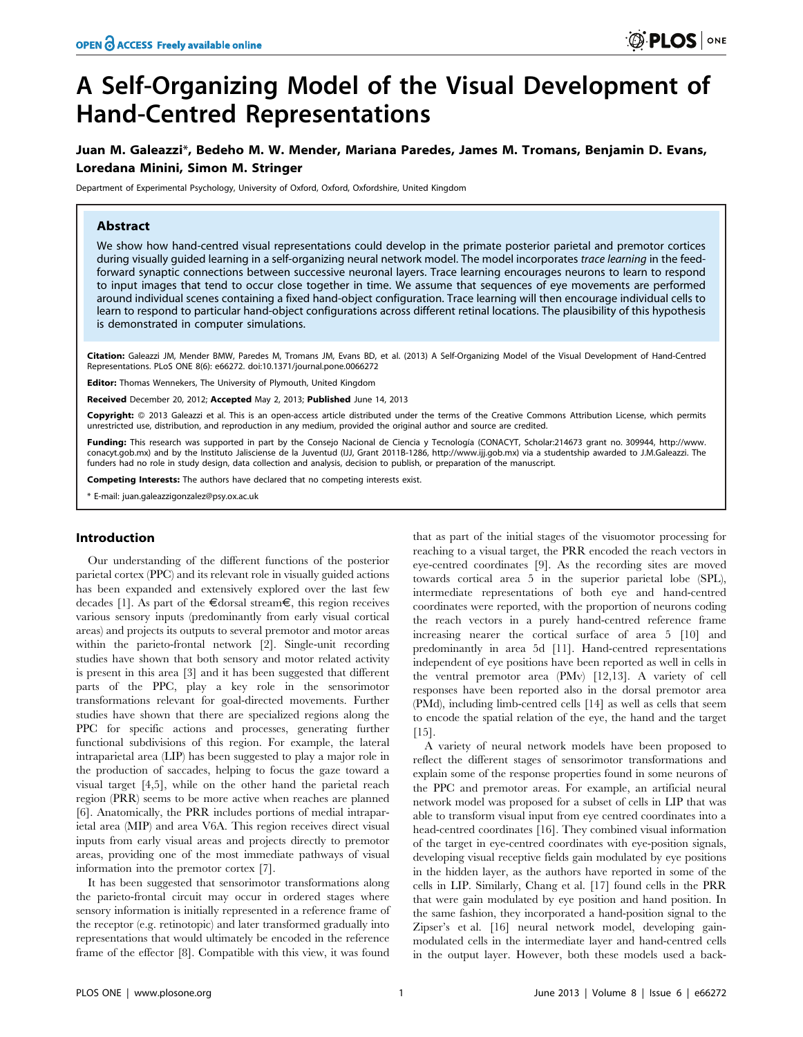# A Self-Organizing Model of the Visual Development of Hand-Centred Representations

# Juan M. Galeazzi\*, Bedeho M. W. Mender, Mariana Paredes, James M. Tromans, Benjamin D. Evans, Loredana Minini, Simon M. Stringer

Department of Experimental Psychology, University of Oxford, Oxford, Oxfordshire, United Kingdom

## Abstract

We show how hand-centred visual representations could develop in the primate posterior parietal and premotor cortices during visually quided learning in a self-organizing neural network model. The model incorporates trace learning in the feedforward synaptic connections between successive neuronal layers. Trace learning encourages neurons to learn to respond to input images that tend to occur close together in time. We assume that sequences of eye movements are performed around individual scenes containing a fixed hand-object configuration. Trace learning will then encourage individual cells to learn to respond to particular hand-object configurations across different retinal locations. The plausibility of this hypothesis is demonstrated in computer simulations.

Citation: Galeazzi JM, Mender BMW, Paredes M, Tromans JM, Evans BD, et al. (2013) A Self-Organizing Model of the Visual Development of Hand-Centred Representations. PLoS ONE 8(6): e66272. doi:10.1371/journal.pone.0066272

Editor: Thomas Wennekers, The University of Plymouth, United Kingdom

Received December 20, 2012; Accepted May 2, 2013; Published June 14, 2013

Copyright: © 2013 Galeazzi et al. This is an open-access article distributed under the terms of the Creative Commons Attribution License, which permits unrestricted use, distribution, and reproduction in any medium, provided the original author and source are credited.

Funding: This research was supported in part by the Consejo Nacional de Ciencia y Tecnología (CONACYT, Scholar:214673 grant no. 309944, http://www. conacyt.gob.mx) and by the Instituto Jalisciense de la Juventud (IJJ, Grant 2011B-1286, http://www.ijj.gob.mx) via a studentship awarded to J.M.Galeazzi. The funders had no role in study design, data collection and analysis, decision to publish, or preparation of the manuscript.

Competing Interests: The authors have declared that no competing interests exist.

\* E-mail: juan.galeazzigonzalez@psy.ox.ac.uk

## Introduction

Our understanding of the different functions of the posterior parietal cortex (PPC) and its relevant role in visually guided actions has been expanded and extensively explored over the last few decades [1]. As part of the  $\in$ dorsal stream $\in$ , this region receives various sensory inputs (predominantly from early visual cortical areas) and projects its outputs to several premotor and motor areas within the parieto-frontal network [2]. Single-unit recording studies have shown that both sensory and motor related activity is present in this area [3] and it has been suggested that different parts of the PPC, play a key role in the sensorimotor transformations relevant for goal-directed movements. Further studies have shown that there are specialized regions along the PPC for specific actions and processes, generating further functional subdivisions of this region. For example, the lateral intraparietal area (LIP) has been suggested to play a major role in the production of saccades, helping to focus the gaze toward a visual target [4,5], while on the other hand the parietal reach region (PRR) seems to be more active when reaches are planned [6]. Anatomically, the PRR includes portions of medial intraparietal area (MIP) and area V6A. This region receives direct visual inputs from early visual areas and projects directly to premotor areas, providing one of the most immediate pathways of visual information into the premotor cortex [7].

It has been suggested that sensorimotor transformations along the parieto-frontal circuit may occur in ordered stages where sensory information is initially represented in a reference frame of the receptor (e.g. retinotopic) and later transformed gradually into representations that would ultimately be encoded in the reference frame of the effector [8]. Compatible with this view, it was found

that as part of the initial stages of the visuomotor processing for reaching to a visual target, the PRR encoded the reach vectors in eye-centred coordinates [9]. As the recording sites are moved towards cortical area 5 in the superior parietal lobe (SPL), intermediate representations of both eye and hand-centred coordinates were reported, with the proportion of neurons coding the reach vectors in a purely hand-centred reference frame increasing nearer the cortical surface of area 5 [10] and predominantly in area 5d [11]. Hand-centred representations independent of eye positions have been reported as well in cells in the ventral premotor area (PMv) [12,13]. A variety of cell responses have been reported also in the dorsal premotor area (PMd), including limb-centred cells [14] as well as cells that seem to encode the spatial relation of the eye, the hand and the target [15].

A variety of neural network models have been proposed to reflect the different stages of sensorimotor transformations and explain some of the response properties found in some neurons of the PPC and premotor areas. For example, an artificial neural network model was proposed for a subset of cells in LIP that was able to transform visual input from eye centred coordinates into a head-centred coordinates [16]. They combined visual information of the target in eye-centred coordinates with eye-position signals, developing visual receptive fields gain modulated by eye positions in the hidden layer, as the authors have reported in some of the cells in LIP. Similarly, Chang et al. [17] found cells in the PRR that were gain modulated by eye position and hand position. In the same fashion, they incorporated a hand-position signal to the Zipser's et al. [16] neural network model, developing gainmodulated cells in the intermediate layer and hand-centred cells in the output layer. However, both these models used a back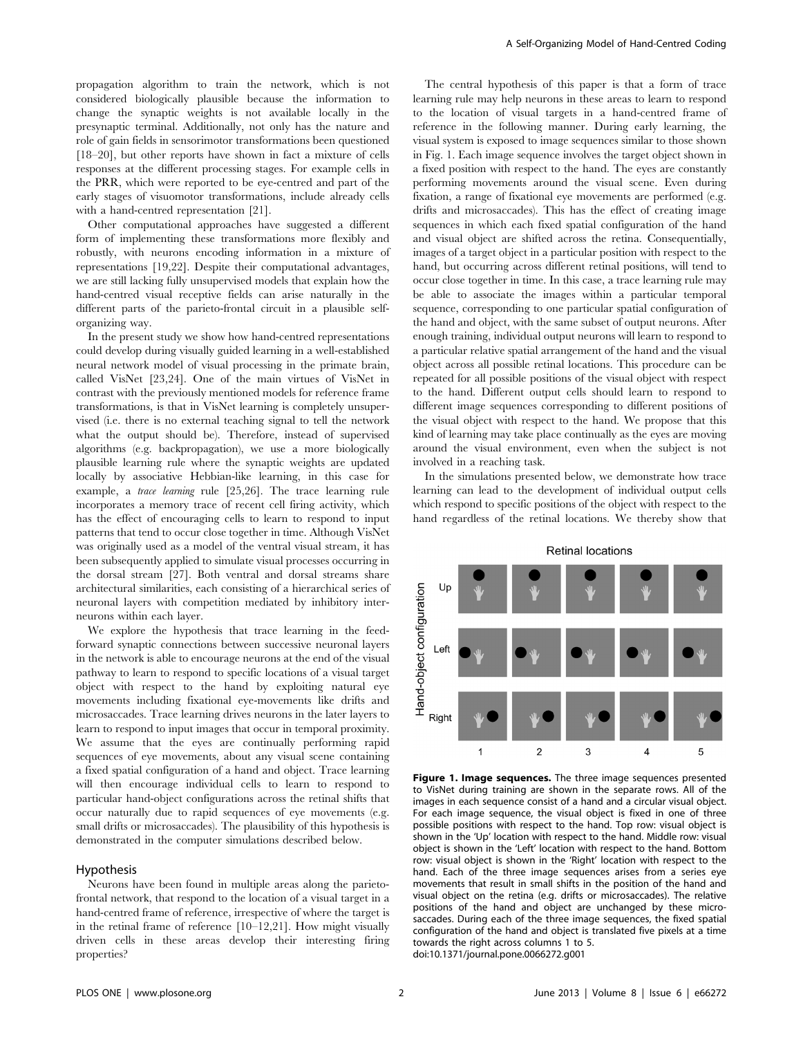propagation algorithm to train the network, which is not considered biologically plausible because the information to change the synaptic weights is not available locally in the presynaptic terminal. Additionally, not only has the nature and role of gain fields in sensorimotor transformations been questioned [18–20], but other reports have shown in fact a mixture of cells responses at the different processing stages. For example cells in the PRR, which were reported to be eye-centred and part of the early stages of visuomotor transformations, include already cells with a hand-centred representation [21].

Other computational approaches have suggested a different form of implementing these transformations more flexibly and robustly, with neurons encoding information in a mixture of representations [19,22]. Despite their computational advantages, we are still lacking fully unsupervised models that explain how the hand-centred visual receptive fields can arise naturally in the different parts of the parieto-frontal circuit in a plausible selforganizing way.

In the present study we show how hand-centred representations could develop during visually guided learning in a well-established neural network model of visual processing in the primate brain, called VisNet [23,24]. One of the main virtues of VisNet in contrast with the previously mentioned models for reference frame transformations, is that in VisNet learning is completely unsupervised (i.e. there is no external teaching signal to tell the network what the output should be). Therefore, instead of supervised algorithms (e.g. backpropagation), we use a more biologically plausible learning rule where the synaptic weights are updated locally by associative Hebbian-like learning, in this case for example, a trace learning rule [25,26]. The trace learning rule incorporates a memory trace of recent cell firing activity, which has the effect of encouraging cells to learn to respond to input patterns that tend to occur close together in time. Although VisNet was originally used as a model of the ventral visual stream, it has been subsequently applied to simulate visual processes occurring in the dorsal stream [27]. Both ventral and dorsal streams share architectural similarities, each consisting of a hierarchical series of neuronal layers with competition mediated by inhibitory interneurons within each layer.

We explore the hypothesis that trace learning in the feedforward synaptic connections between successive neuronal layers in the network is able to encourage neurons at the end of the visual pathway to learn to respond to specific locations of a visual target object with respect to the hand by exploiting natural eye movements including fixational eye-movements like drifts and microsaccades. Trace learning drives neurons in the later layers to learn to respond to input images that occur in temporal proximity. We assume that the eyes are continually performing rapid sequences of eye movements, about any visual scene containing a fixed spatial configuration of a hand and object. Trace learning will then encourage individual cells to learn to respond to particular hand-object configurations across the retinal shifts that occur naturally due to rapid sequences of eye movements (e.g. small drifts or microsaccades). The plausibility of this hypothesis is demonstrated in the computer simulations described below.

#### Hypothesis

Neurons have been found in multiple areas along the parietofrontal network, that respond to the location of a visual target in a hand-centred frame of reference, irrespective of where the target is in the retinal frame of reference [10–12,21]. How might visually driven cells in these areas develop their interesting firing properties?

The central hypothesis of this paper is that a form of trace learning rule may help neurons in these areas to learn to respond to the location of visual targets in a hand-centred frame of reference in the following manner. During early learning, the visual system is exposed to image sequences similar to those shown in Fig. 1. Each image sequence involves the target object shown in a fixed position with respect to the hand. The eyes are constantly performing movements around the visual scene. Even during fixation, a range of fixational eye movements are performed (e.g. drifts and microsaccades). This has the effect of creating image sequences in which each fixed spatial configuration of the hand and visual object are shifted across the retina. Consequentially, images of a target object in a particular position with respect to the hand, but occurring across different retinal positions, will tend to occur close together in time. In this case, a trace learning rule may be able to associate the images within a particular temporal sequence, corresponding to one particular spatial configuration of the hand and object, with the same subset of output neurons. After enough training, individual output neurons will learn to respond to a particular relative spatial arrangement of the hand and the visual object across all possible retinal locations. This procedure can be repeated for all possible positions of the visual object with respect to the hand. Different output cells should learn to respond to different image sequences corresponding to different positions of the visual object with respect to the hand. We propose that this kind of learning may take place continually as the eyes are moving around the visual environment, even when the subject is not involved in a reaching task.

In the simulations presented below, we demonstrate how trace learning can lead to the development of individual output cells which respond to specific positions of the object with respect to the hand regardless of the retinal locations. We thereby show that



#### Figure 1. Image sequences. The three image sequences presented to VisNet during training are shown in the separate rows. All of the images in each sequence consist of a hand and a circular visual object. For each image sequence, the visual object is fixed in one of three possible positions with respect to the hand. Top row: visual object is shown in the 'Up' location with respect to the hand. Middle row: visual object is shown in the 'Left' location with respect to the hand. Bottom row: visual object is shown in the 'Right' location with respect to the hand. Each of the three image sequences arises from a series eye movements that result in small shifts in the position of the hand and visual object on the retina (e.g. drifts or microsaccades). The relative positions of the hand and object are unchanged by these microsaccades. During each of the three image sequences, the fixed spatial configuration of the hand and object is translated five pixels at a time towards the right across columns 1 to 5. doi:10.1371/journal.pone.0066272.g001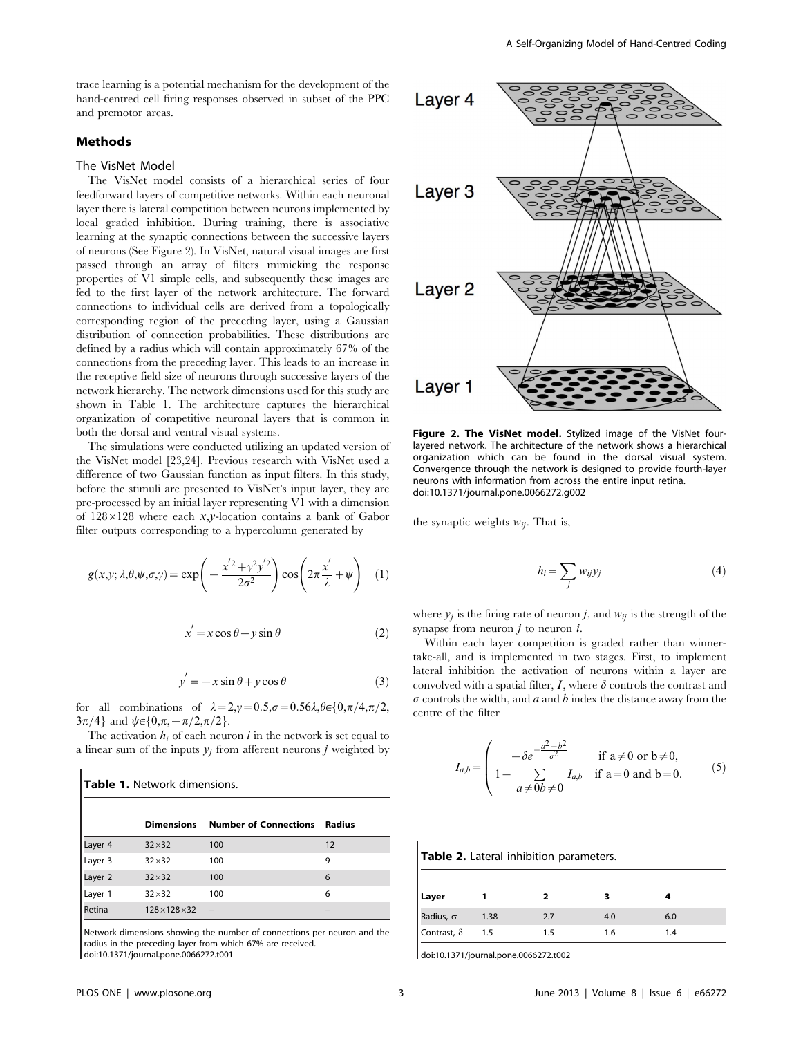trace learning is a potential mechanism for the development of the hand-centred cell firing responses observed in subset of the PPC and premotor areas.

## Methods

## The VisNet Model

The VisNet model consists of a hierarchical series of four feedforward layers of competitive networks. Within each neuronal layer there is lateral competition between neurons implemented by local graded inhibition. During training, there is associative learning at the synaptic connections between the successive layers of neurons (See Figure 2). In VisNet, natural visual images are first passed through an array of filters mimicking the response properties of V1 simple cells, and subsequently these images are fed to the first layer of the network architecture. The forward connections to individual cells are derived from a topologically corresponding region of the preceding layer, using a Gaussian distribution of connection probabilities. These distributions are defined by a radius which will contain approximately 67% of the connections from the preceding layer. This leads to an increase in the receptive field size of neurons through successive layers of the network hierarchy. The network dimensions used for this study are shown in Table 1. The architecture captures the hierarchical organization of competitive neuronal layers that is common in both the dorsal and ventral visual systems.

The simulations were conducted utilizing an updated version of the VisNet model [23,24]. Previous research with VisNet used a difference of two Gaussian function as input filters. In this study, before the stimuli are presented to VisNet's input layer, they are pre-processed by an initial layer representing V1 with a dimension of  $128\times128$  where each x,y-location contains a bank of Gabor filter outputs corresponding to a hypercolumn generated by

$$
g(x, y; \lambda, \theta, \psi, \sigma, \gamma) = \exp\left(-\frac{x'^2 + \gamma^2 y'^2}{2\sigma^2}\right) \cos\left(2\pi \frac{x'}{\lambda} + \psi\right) \quad (1)
$$

$$
x' = x\cos\theta + y\sin\theta\tag{2}
$$

$$
y' = -x\sin\theta + y\cos\theta\tag{3}
$$

for all combinations of  $\lambda=2,\gamma=0.5,\sigma=0.56\lambda,\theta\in\{0,\pi/4,\pi/2,$  $3\pi/4$  and  $\psi \in \{0,\pi,-\pi/2,\pi/2\}.$ 

The activation  $h_i$  of each neuron i in the network is set equal to a linear sum of the inputs  $y_i$  from afferent neurons *j* weighted by

Table 1. Network dimensions.

|         | <b>Dimensions</b>      | <b>Number of Connections Radius</b> |    |
|---------|------------------------|-------------------------------------|----|
| Layer 4 | $32\times32$           | 100                                 | 12 |
| Layer 3 | $32\times32$           | 100                                 | 9  |
| Layer 2 | $32\times32$           | 100                                 | 6  |
| Layer 1 | $32\times32$           | 100                                 | 6  |
| Retina  | $128\times128\times32$ |                                     |    |

Network dimensions showing the number of connections per neuron and the radius in the preceding layer from which 67% are received. doi:10.1371/journal.pone.0066272.t001



Figure 2. The VisNet model. Stylized image of the VisNet fourlayered network. The architecture of the network shows a hierarchical organization which can be found in the dorsal visual system. Convergence through the network is designed to provide fourth-layer neurons with information from across the entire input retina. doi:10.1371/journal.pone.0066272.g002

the synaptic weights  $w_{ii}$ . That is,

$$
h_i = \sum_j w_{ij} y_j \tag{4}
$$

where  $y_i$  is the firing rate of neuron j, and  $w_{ij}$  is the strength of the synapse from neuron  $j$  to neuron  $i$ .

Within each layer competition is graded rather than winnertake-all, and is implemented in two stages. First, to implement lateral inhibition the activation of neurons within a layer are convolved with a spatial filter,  $I$ , where  $\delta$  controls the contrast and  $\sigma$  controls the width, and  $a$  and  $b$  index the distance away from the centre of the filter

$$
I_{a,b} = \begin{pmatrix} -\delta e^{-\frac{a^2 + b^2}{\sigma^2}} & \text{if } a \neq 0 \text{ or } b \neq 0, \\ 1 - \sum_{a \neq 0, b \neq 0} I_{a,b} & \text{if } a = 0 \text{ and } b = 0. \end{pmatrix}
$$
 (5)

Table 2. Lateral inhibition parameters.

| Layer              |         |     |     |     |
|--------------------|---------|-----|-----|-----|
| Radius, $\sigma$   | 1.38    | 2.7 | 4.0 | 6.0 |
| Contrast, $\delta$ | $1.5\,$ | 1.5 | 1.6 | 1.4 |

doi:10.1371/journal.pone.0066272.t002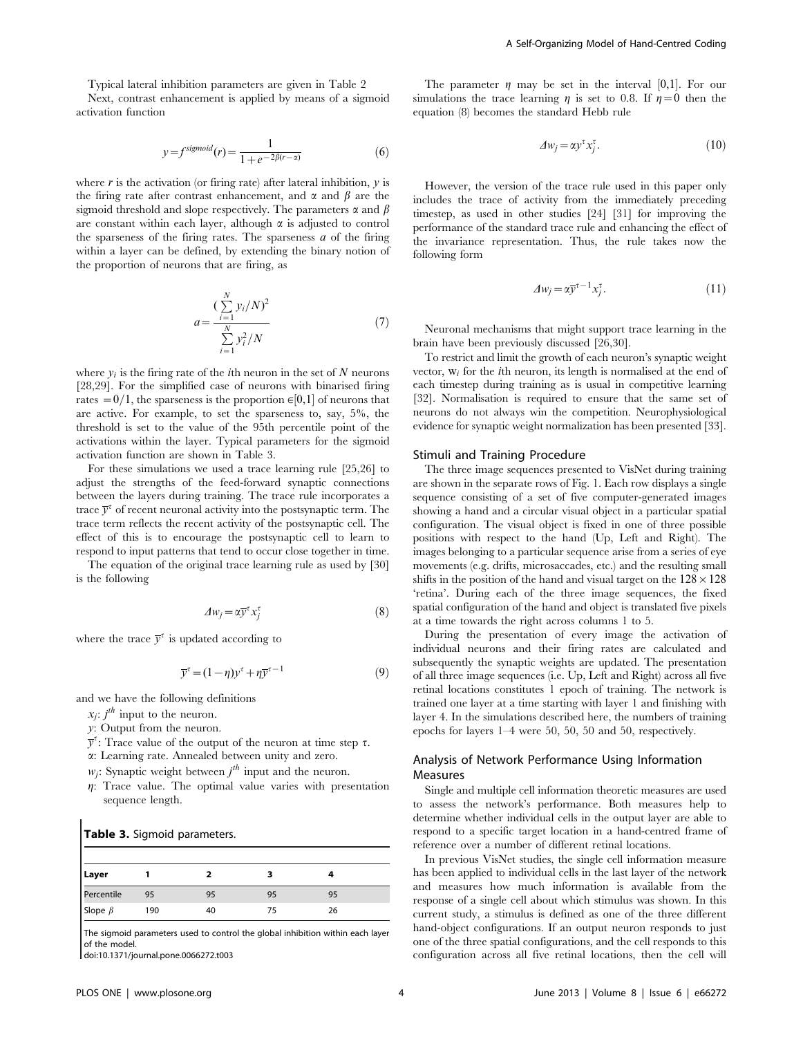Typical lateral inhibition parameters are given in Table 2

Next, contrast enhancement is applied by means of a sigmoid activation function

$$
y = f^{\text{sigmoid}}(r) = \frac{1}{1 + e^{-2\beta(r - \alpha)}}
$$
(6)

where  $r$  is the activation (or firing rate) after lateral inhibition,  $y$  is the firing rate after contrast enhancement, and  $\alpha$  and  $\beta$  are the sigmoid threshold and slope respectively. The parameters  $\alpha$  and  $\beta$ are constant within each layer, although  $\alpha$  is adjusted to control the sparseness of the firing rates. The sparseness  $a$  of the firing within a layer can be defined, by extending the binary notion of the proportion of neurons that are firing, as

$$
a = \frac{\left(\sum_{i=1}^{N} y_i / N\right)^2}{\sum_{i=1}^{N} y_i^2 / N}
$$
 (7)

where  $y_i$  is the firing rate of the *i*th neuron in the set of N neurons [28,29]. For the simplified case of neurons with binarised firing rates  $= 0/1$ , the sparseness is the proportion  $\in [0,1]$  of neurons that are active. For example, to set the sparseness to, say, 5%, the threshold is set to the value of the 95th percentile point of the activations within the layer. Typical parameters for the sigmoid activation function are shown in Table 3.

For these simulations we used a trace learning rule [25,26] to adjust the strengths of the feed-forward synaptic connections between the layers during training. The trace rule incorporates a trace  $\bar{y}^t$  of recent neuronal activity into the postsynaptic term. The trace term reflects the recent activity of the postsynaptic cell. The effect of this is to encourage the postsynaptic cell to learn to respond to input patterns that tend to occur close together in time.

The equation of the original trace learning rule as used by [30] is the following

$$
\Delta w_j = \alpha \overline{y}^{\tau} x_j^{\tau} \tag{8}
$$

where the trace  $\bar{v}^{\tau}$  is updated according to

$$
\overline{y}^{\tau} = (1 - \eta)y^{\tau} + \eta \overline{y}^{\tau - 1}
$$
\n(9)

and we have the following definitions

- $x_j$ :  $j^{th}$  input to the neuron.
- y: Output from the neuron.

Table 3. Sigmoid parameters.

- $\overline{y}^{\tau}$ : Trace value of the output of the neuron at time step  $\tau$ .
- a: Learning rate. Annealed between unity and zero.
- $w_j$ : Synaptic weight between  $j^{th}$  input and the neuron.
- $\eta$ : Trace value. The optimal value varies with presentation sequence length.

| Layer         |     |    | з  |    |  |
|---------------|-----|----|----|----|--|
| Percentile    | 95  | 95 | 95 | 95 |  |
| Slope $\beta$ | 190 | 40 | 75 | 26 |  |

The sigmoid parameters used to control the global inhibition within each layer of the model.

doi:10.1371/journal.pone.0066272.t003

The parameter  $\eta$  may be set in the interval [0,1]. For our simulations the trace learning  $\eta$  is set to 0.8. If  $\eta = 0$  then the equation (8) becomes the standard Hebb rule

$$
\Delta w_j = \alpha y^{\tau} x_j^{\tau}.
$$
 (10)

However, the version of the trace rule used in this paper only includes the trace of activity from the immediately preceding timestep, as used in other studies [24] [31] for improving the performance of the standard trace rule and enhancing the effect of the invariance representation. Thus, the rule takes now the following form

$$
\Delta w_j = \alpha \overline{y}^{\tau - 1} x_j^{\tau}.
$$
 (11)

Neuronal mechanisms that might support trace learning in the brain have been previously discussed [26,30].

To restrict and limit the growth of each neuron's synaptic weight vector,  $w_i$  for the *i*th neuron, its length is normalised at the end of each timestep during training as is usual in competitive learning [32]. Normalisation is required to ensure that the same set of neurons do not always win the competition. Neurophysiological evidence for synaptic weight normalization has been presented [33].

#### Stimuli and Training Procedure

The three image sequences presented to VisNet during training are shown in the separate rows of Fig. 1. Each row displays a single sequence consisting of a set of five computer-generated images showing a hand and a circular visual object in a particular spatial configuration. The visual object is fixed in one of three possible positions with respect to the hand (Up, Left and Right). The images belonging to a particular sequence arise from a series of eye movements (e.g. drifts, microsaccades, etc.) and the resulting small shifts in the position of the hand and visual target on the  $128\times128$ 'retina'. During each of the three image sequences, the fixed spatial configuration of the hand and object is translated five pixels at a time towards the right across columns 1 to 5.

During the presentation of every image the activation of individual neurons and their firing rates are calculated and subsequently the synaptic weights are updated. The presentation of all three image sequences (i.e. Up, Left and Right) across all five retinal locations constitutes 1 epoch of training. The network is trained one layer at a time starting with layer 1 and finishing with layer 4. In the simulations described here, the numbers of training epochs for layers 1–4 were 50, 50, 50 and 50, respectively.

## Analysis of Network Performance Using Information Measures

Single and multiple cell information theoretic measures are used to assess the network's performance. Both measures help to determine whether individual cells in the output layer are able to respond to a specific target location in a hand-centred frame of reference over a number of different retinal locations.

In previous VisNet studies, the single cell information measure has been applied to individual cells in the last layer of the network and measures how much information is available from the response of a single cell about which stimulus was shown. In this current study, a stimulus is defined as one of the three different hand-object configurations. If an output neuron responds to just one of the three spatial configurations, and the cell responds to this configuration across all five retinal locations, then the cell will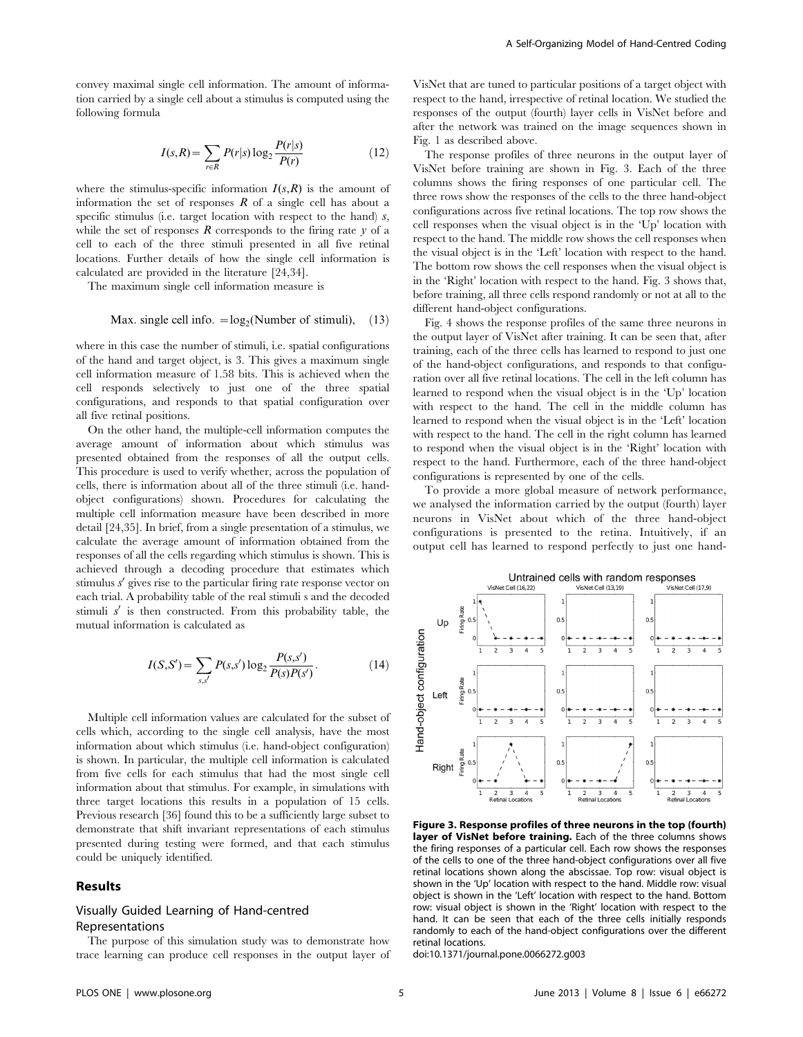convey maximal single cell information. The amount of information carried by a single cell about a stimulus is computed using the following formula

$$
I(s,R) = \sum_{r \in R} P(r|s) \log_2 \frac{P(r|s)}{P(r)}\tag{12}
$$

where the stimulus-specific information  $I(s, R)$  is the amount of information the set of responses  $R$  of a single cell has about a specific stimulus (i.e. target location with respect to the hand) s, while the set of responses  $R$  corresponds to the firing rate  $\gamma$  of a cell to each of the three stimuli presented in all five retinal locations. Further details of how the single cell information is calculated are provided in the literature [24,34].

The maximum single cell information measure is

#### Max. single cell info.  $=$ log<sub>2</sub>(Number of stimuli), (13)

where in this case the number of stimuli, i.e. spatial configurations of the hand and target object, is 3. This gives a maximum single cell information measure of 1.58 bits. This is achieved when the cell responds selectively to just one of the three spatial configurations, and responds to that spatial configuration over all five retinal positions.

On the other hand, the multiple-cell information computes the average amount of information about which stimulus was presented obtained from the responses of all the output cells. This procedure is used to verify whether, across the population of cells, there is information about all of the three stimuli (i.e. handobject configurations) shown. Procedures for calculating the multiple cell information measure have been described in more detail [24,35]. In brief, from a single presentation of a stimulus, we calculate the average amount of information obtained from the responses of all the cells regarding which stimulus is shown. This is achieved through a decoding procedure that estimates which stimulus  $s'$  gives rise to the particular firing rate response vector on each trial. A probability table of the real stimuli s and the decoded stimuli  $s'$  is then constructed. From this probability table, the mutual information is calculated as

$$
I(S,S') = \sum_{s,s'} P(s,s') \log_2 \frac{P(s,s')}{P(s)P(s')}.
$$
 (14)

Multiple cell information values are calculated for the subset of cells which, according to the single cell analysis, have the most information about which stimulus (i.e. hand-object configuration) is shown. In particular, the multiple cell information is calculated from five cells for each stimulus that had the most single cell information about that stimulus. For example, in simulations with three target locations this results in a population of 15 cells. Previous research [36] found this to be a sufficiently large subset to demonstrate that shift invariant representations of each stimulus presented during testing were formed, and that each stimulus could be uniquely identified.

#### Results

## Visually Guided Learning of Hand-centred Representations

The purpose of this simulation study was to demonstrate how trace learning can produce cell responses in the output layer of VisNet that are tuned to particular positions of a target object with respect to the hand, irrespective of retinal location. We studied the responses of the output (fourth) layer cells in VisNet before and after the network was trained on the image sequences shown in Fig. 1 as described above.

The response profiles of three neurons in the output layer of VisNet before training are shown in Fig. 3. Each of the three columns shows the firing responses of one particular cell. The three rows show the responses of the cells to the three hand-object configurations across five retinal locations. The top row shows the cell responses when the visual object is in the 'Up' location with respect to the hand. The middle row shows the cell responses when the visual object is in the 'Left' location with respect to the hand. The bottom row shows the cell responses when the visual object is in the 'Right' location with respect to the hand. Fig. 3 shows that, before training, all three cells respond randomly or not at all to the different hand-object configurations.

Fig. 4 shows the response profiles of the same three neurons in the output layer of VisNet after training. It can be seen that, after training, each of the three cells has learned to respond to just one of the hand-object configurations, and responds to that configuration over all five retinal locations. The cell in the left column has learned to respond when the visual object is in the 'Up' location with respect to the hand. The cell in the middle column has learned to respond when the visual object is in the 'Left' location with respect to the hand. The cell in the right column has learned to respond when the visual object is in the 'Right' location with respect to the hand. Furthermore, each of the three hand-object configurations is represented by one of the cells.

To provide a more global measure of network performance, we analysed the information carried by the output (fourth) layer neurons in VisNet about which of the three hand-object configurations is presented to the retina. Intuitively, if an output cell has learned to respond perfectly to just one hand-



Figure 3. Response profiles of three neurons in the top (fourth) layer of VisNet before training. Each of the three columns shows the firing responses of a particular cell. Each row shows the responses of the cells to one of the three hand-object configurations over all five retinal locations shown along the abscissae. Top row: visual object is shown in the 'Up' location with respect to the hand. Middle row: visual object is shown in the 'Left' location with respect to the hand. Bottom row: visual object is shown in the 'Right' location with respect to the hand. It can be seen that each of the three cells initially responds randomly to each of the hand-object configurations over the different retinal locations.

doi:10.1371/journal.pone.0066272.g003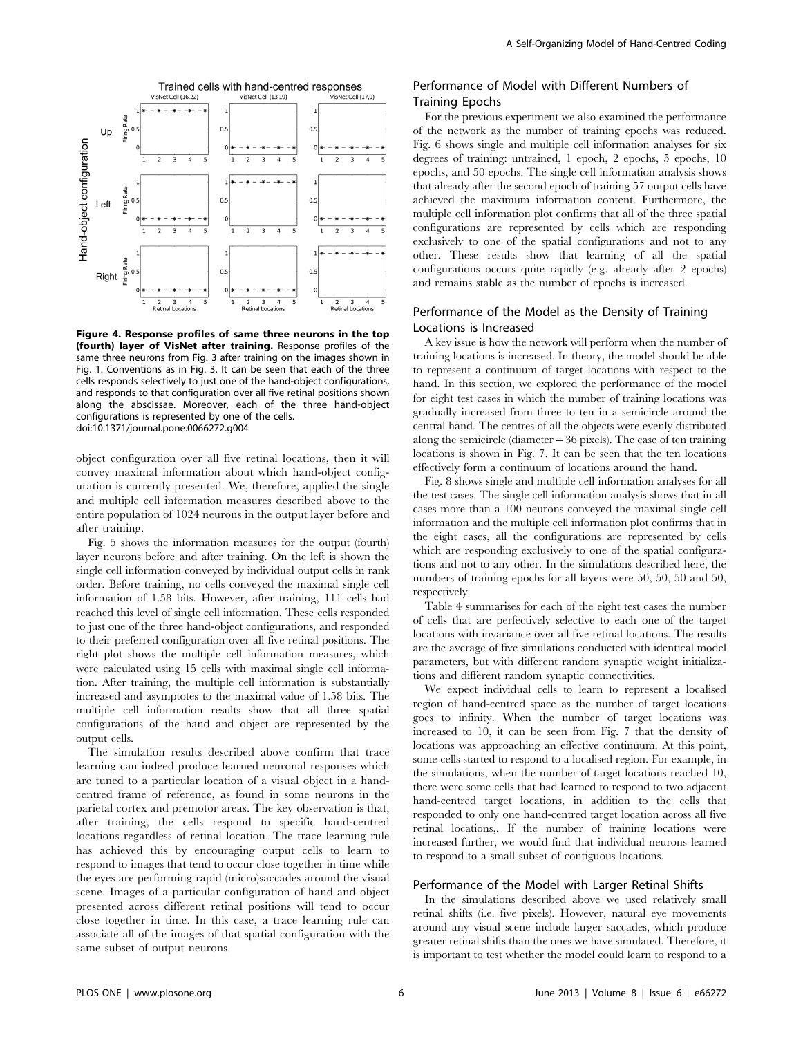

Figure 4. Response profiles of same three neurons in the top (fourth) layer of VisNet after training. Response profiles of the same three neurons from Fig. 3 after training on the images shown in Fig. 1. Conventions as in Fig. 3. It can be seen that each of the three cells responds selectively to just one of the hand-object configurations, and responds to that configuration over all five retinal positions shown along the abscissae. Moreover, each of the three hand-object configurations is represented by one of the cells. doi:10.1371/journal.pone.0066272.g004

object configuration over all five retinal locations, then it will convey maximal information about which hand-object configuration is currently presented. We, therefore, applied the single and multiple cell information measures described above to the entire population of 1024 neurons in the output layer before and after training.

Fig. 5 shows the information measures for the output (fourth) layer neurons before and after training. On the left is shown the single cell information conveyed by individual output cells in rank order. Before training, no cells conveyed the maximal single cell information of 1.58 bits. However, after training, 111 cells had reached this level of single cell information. These cells responded to just one of the three hand-object configurations, and responded to their preferred configuration over all five retinal positions. The right plot shows the multiple cell information measures, which were calculated using 15 cells with maximal single cell information. After training, the multiple cell information is substantially increased and asymptotes to the maximal value of 1.58 bits. The multiple cell information results show that all three spatial configurations of the hand and object are represented by the output cells.

The simulation results described above confirm that trace learning can indeed produce learned neuronal responses which are tuned to a particular location of a visual object in a handcentred frame of reference, as found in some neurons in the parietal cortex and premotor areas. The key observation is that, after training, the cells respond to specific hand-centred locations regardless of retinal location. The trace learning rule has achieved this by encouraging output cells to learn to respond to images that tend to occur close together in time while the eyes are performing rapid (micro)saccades around the visual scene. Images of a particular configuration of hand and object presented across different retinal positions will tend to occur close together in time. In this case, a trace learning rule can associate all of the images of that spatial configuration with the same subset of output neurons.

# Performance of Model with Different Numbers of Training Epochs

For the previous experiment we also examined the performance of the network as the number of training epochs was reduced. Fig. 6 shows single and multiple cell information analyses for six degrees of training: untrained, 1 epoch, 2 epochs, 5 epochs, 10 epochs, and 50 epochs. The single cell information analysis shows that already after the second epoch of training 57 output cells have achieved the maximum information content. Furthermore, the multiple cell information plot confirms that all of the three spatial configurations are represented by cells which are responding exclusively to one of the spatial configurations and not to any other. These results show that learning of all the spatial configurations occurs quite rapidly (e.g. already after 2 epochs) and remains stable as the number of epochs is increased.

# Performance of the Model as the Density of Training Locations is Increased

A key issue is how the network will perform when the number of training locations is increased. In theory, the model should be able to represent a continuum of target locations with respect to the hand. In this section, we explored the performance of the model for eight test cases in which the number of training locations was gradually increased from three to ten in a semicircle around the central hand. The centres of all the objects were evenly distributed along the semicircle (diameter = 36 pixels). The case of ten training locations is shown in Fig. 7. It can be seen that the ten locations effectively form a continuum of locations around the hand.

Fig. 8 shows single and multiple cell information analyses for all the test cases. The single cell information analysis shows that in all cases more than a 100 neurons conveyed the maximal single cell information and the multiple cell information plot confirms that in the eight cases, all the configurations are represented by cells which are responding exclusively to one of the spatial configurations and not to any other. In the simulations described here, the numbers of training epochs for all layers were 50, 50, 50 and 50, respectively.

Table 4 summarises for each of the eight test cases the number of cells that are perfectively selective to each one of the target locations with invariance over all five retinal locations. The results are the average of five simulations conducted with identical model parameters, but with different random synaptic weight initializations and different random synaptic connectivities.

We expect individual cells to learn to represent a localised region of hand-centred space as the number of target locations goes to infinity. When the number of target locations was increased to 10, it can be seen from Fig. 7 that the density of locations was approaching an effective continuum. At this point, some cells started to respond to a localised region. For example, in the simulations, when the number of target locations reached 10, there were some cells that had learned to respond to two adjacent hand-centred target locations, in addition to the cells that responded to only one hand-centred target location across all five retinal locations,. If the number of training locations were increased further, we would find that individual neurons learned to respond to a small subset of contiguous locations.

#### Performance of the Model with Larger Retinal Shifts

In the simulations described above we used relatively small retinal shifts (i.e. five pixels). However, natural eye movements around any visual scene include larger saccades, which produce greater retinal shifts than the ones we have simulated. Therefore, it is important to test whether the model could learn to respond to a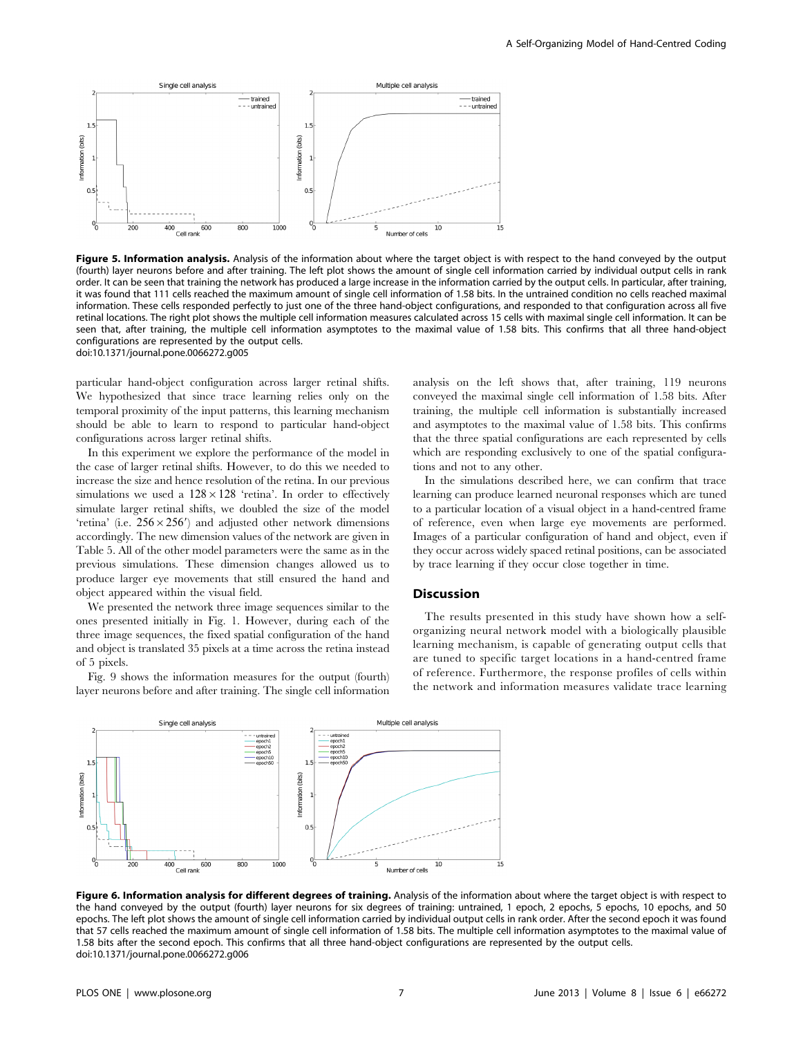

Figure 5. Information analysis. Analysis of the information about where the target object is with respect to the hand conveyed by the output (fourth) layer neurons before and after training. The left plot shows the amount of single cell information carried by individual output cells in rank order. It can be seen that training the network has produced a large increase in the information carried by the output cells. In particular, after training, it was found that 111 cells reached the maximum amount of single cell information of 1.58 bits. In the untrained condition no cells reached maximal information. These cells responded perfectly to just one of the three hand-object configurations, and responded to that configuration across all five retinal locations. The right plot shows the multiple cell information measures calculated across 15 cells with maximal single cell information. It can be seen that, after training, the multiple cell information asymptotes to the maximal value of 1.58 bits. This confirms that all three hand-object configurations are represented by the output cells. doi:10.1371/journal.pone.0066272.g005

particular hand-object configuration across larger retinal shifts. We hypothesized that since trace learning relies only on the temporal proximity of the input patterns, this learning mechanism should be able to learn to respond to particular hand-object configurations across larger retinal shifts.

In this experiment we explore the performance of the model in the case of larger retinal shifts. However, to do this we needed to increase the size and hence resolution of the retina. In our previous simulations we used a  $128\times128$  'retina'. In order to effectively simulate larger retinal shifts, we doubled the size of the model 'retina' (i.e.  $256 \times 256'$ ) and adjusted other network dimensions accordingly. The new dimension values of the network are given in Table 5. All of the other model parameters were the same as in the previous simulations. These dimension changes allowed us to produce larger eye movements that still ensured the hand and object appeared within the visual field.

We presented the network three image sequences similar to the ones presented initially in Fig. 1. However, during each of the three image sequences, the fixed spatial configuration of the hand and object is translated 35 pixels at a time across the retina instead of 5 pixels.

Fig. 9 shows the information measures for the output (fourth) layer neurons before and after training. The single cell information analysis on the left shows that, after training, 119 neurons conveyed the maximal single cell information of 1.58 bits. After training, the multiple cell information is substantially increased and asymptotes to the maximal value of 1.58 bits. This confirms that the three spatial configurations are each represented by cells which are responding exclusively to one of the spatial configurations and not to any other.

In the simulations described here, we can confirm that trace learning can produce learned neuronal responses which are tuned to a particular location of a visual object in a hand-centred frame of reference, even when large eye movements are performed. Images of a particular configuration of hand and object, even if they occur across widely spaced retinal positions, can be associated by trace learning if they occur close together in time.

#### **Discussion**

The results presented in this study have shown how a selforganizing neural network model with a biologically plausible learning mechanism, is capable of generating output cells that are tuned to specific target locations in a hand-centred frame of reference. Furthermore, the response profiles of cells within the network and information measures validate trace learning



Figure 6. Information analysis for different degrees of training. Analysis of the information about where the target object is with respect to the hand conveyed by the output (fourth) layer neurons for six degrees of training: untrained, 1 epoch, 2 epochs, 5 epochs, 10 epochs, and 50 epochs. The left plot shows the amount of single cell information carried by individual output cells in rank order. After the second epoch it was found that 57 cells reached the maximum amount of single cell information of 1.58 bits. The multiple cell information asymptotes to the maximal value of 1.58 bits after the second epoch. This confirms that all three hand-object configurations are represented by the output cells. doi:10.1371/journal.pone.0066272.g006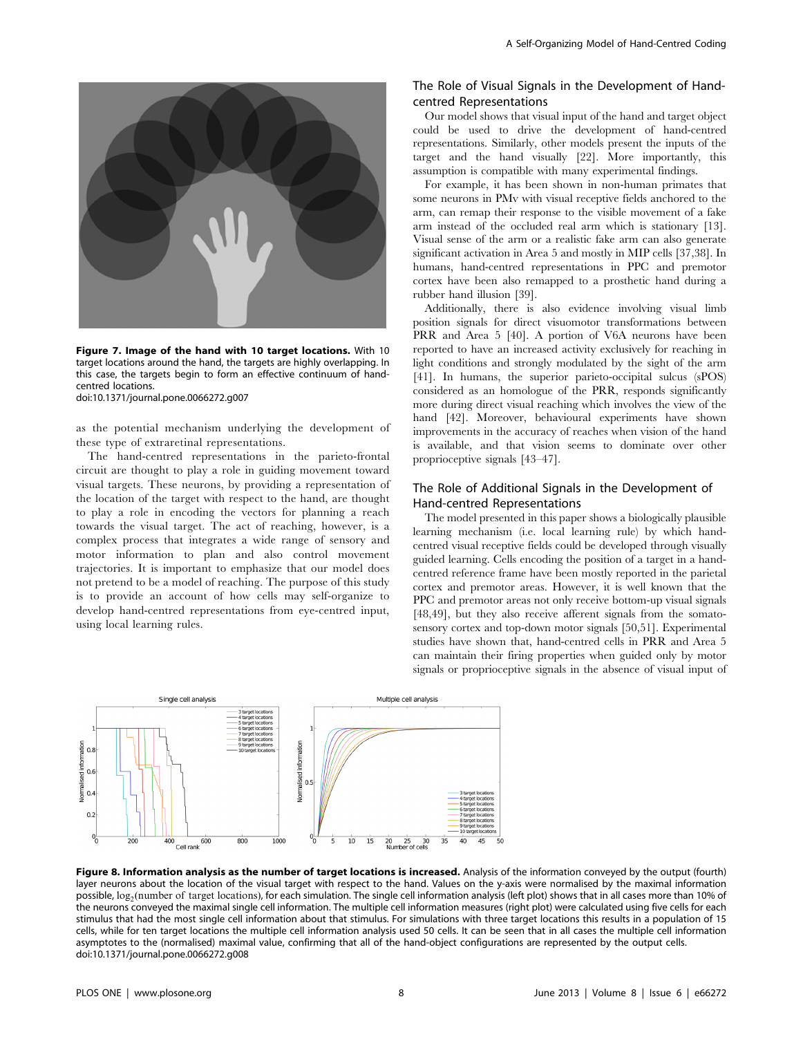

Figure 7. Image of the hand with 10 target locations. With 10 target locations around the hand, the targets are highly overlapping. In this case, the targets begin to form an effective continuum of handcentred locations. doi:10.1371/journal.pone.0066272.g007

as the potential mechanism underlying the development of these type of extraretinal representations.

The hand-centred representations in the parieto-frontal circuit are thought to play a role in guiding movement toward visual targets. These neurons, by providing a representation of the location of the target with respect to the hand, are thought to play a role in encoding the vectors for planning a reach towards the visual target. The act of reaching, however, is a complex process that integrates a wide range of sensory and motor information to plan and also control movement trajectories. It is important to emphasize that our model does not pretend to be a model of reaching. The purpose of this study is to provide an account of how cells may self-organize to develop hand-centred representations from eye-centred input, using local learning rules.

# The Role of Visual Signals in the Development of Handcentred Representations

Our model shows that visual input of the hand and target object could be used to drive the development of hand-centred representations. Similarly, other models present the inputs of the target and the hand visually [22]. More importantly, this assumption is compatible with many experimental findings.

For example, it has been shown in non-human primates that some neurons in PMv with visual receptive fields anchored to the arm, can remap their response to the visible movement of a fake arm instead of the occluded real arm which is stationary [13]. Visual sense of the arm or a realistic fake arm can also generate significant activation in Area 5 and mostly in MIP cells [37,38]. In humans, hand-centred representations in PPC and premotor cortex have been also remapped to a prosthetic hand during a rubber hand illusion [39].

Additionally, there is also evidence involving visual limb position signals for direct visuomotor transformations between PRR and Area 5 [40]. A portion of V6A neurons have been reported to have an increased activity exclusively for reaching in light conditions and strongly modulated by the sight of the arm [41]. In humans, the superior parieto-occipital sulcus (sPOS) considered as an homologue of the PRR, responds significantly more during direct visual reaching which involves the view of the hand [42]. Moreover, behavioural experiments have shown improvements in the accuracy of reaches when vision of the hand is available, and that vision seems to dominate over other proprioceptive signals [43–47].

# The Role of Additional Signals in the Development of Hand-centred Representations

The model presented in this paper shows a biologically plausible learning mechanism (i.e. local learning rule) by which handcentred visual receptive fields could be developed through visually guided learning. Cells encoding the position of a target in a handcentred reference frame have been mostly reported in the parietal cortex and premotor areas. However, it is well known that the PPC and premotor areas not only receive bottom-up visual signals [48,49], but they also receive afferent signals from the somatosensory cortex and top-down motor signals [50,51]. Experimental studies have shown that, hand-centred cells in PRR and Area 5 can maintain their firing properties when guided only by motor signals or proprioceptive signals in the absence of visual input of



Figure 8. Information analysis as the number of target locations is increased. Analysis of the information conveyed by the output (fourth) layer neurons about the location of the visual target with respect to the hand. Values on the y-axis were normalised by the maximal information possible, log<sub>2</sub>(number of target locations), for each simulation. The single cell information analysis (left plot) shows that in all cases more than 10% of the neurons conveyed the maximal single cell information. The multiple cell information measures (right plot) were calculated using five cells for each stimulus that had the most single cell information about that stimulus. For simulations with three target locations this results in a population of 15 cells, while for ten target locations the multiple cell information analysis used 50 cells. It can be seen that in all cases the multiple cell information asymptotes to the (normalised) maximal value, confirming that all of the hand-object configurations are represented by the output cells. doi:10.1371/journal.pone.0066272.g008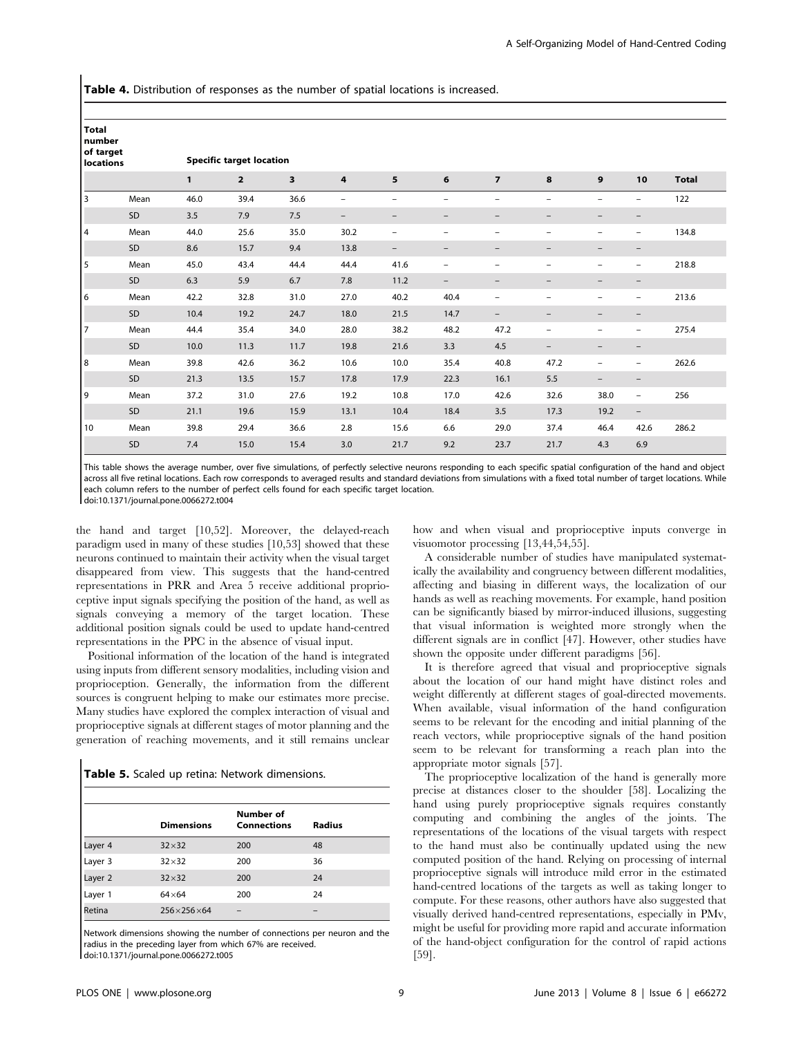Table 4. Distribution of responses as the number of spatial locations is increased.

Total

| Jmr<br>п<br>I |
|---------------|
|---------------|

| of target<br><b>Iocations</b> |           | <b>Specific target location</b> |                         |      |                   |                          |                          |                          |                          |                          |                          |              |
|-------------------------------|-----------|---------------------------------|-------------------------|------|-------------------|--------------------------|--------------------------|--------------------------|--------------------------|--------------------------|--------------------------|--------------|
|                               |           | 1                               | $\overline{\mathbf{2}}$ | 3    | 4                 | 5                        | 6                        | $\overline{z}$           | 8                        | 9                        | 10                       | <b>Total</b> |
| l 3                           | Mean      | 46.0                            | 39.4                    | 36.6 | -                 | -                        | $\overline{\phantom{0}}$ | -                        | $\overline{\phantom{0}}$ | -                        | $\overline{\phantom{m}}$ | 122          |
|                               | SD        | 3.5                             | 7.9                     | 7.5  | $\qquad \qquad -$ | $\qquad \qquad -$        | $\qquad \qquad -$        | $\qquad \qquad -$        | $\qquad \qquad -$        | $\qquad \qquad -$        | $\overline{\phantom{m}}$ |              |
| 14                            | Mean      | 44.0                            | 25.6                    | 35.0 | 30.2              | $\overline{\phantom{0}}$ | -                        | $\overline{\phantom{0}}$ | $\overline{\phantom{0}}$ | -                        | $\overline{\phantom{m}}$ | 134.8        |
|                               | <b>SD</b> | 8.6                             | 15.7                    | 9.4  | 13.8              | $\qquad \qquad -$        | $\qquad \qquad -$        | $\qquad \qquad -$        | -                        | $\qquad \qquad -$        | $\overline{\phantom{m}}$ |              |
| 5                             | Mean      | 45.0                            | 43.4                    | 44.4 | 44.4              | 41.6                     | -                        | -                        | $\overline{\phantom{0}}$ | -                        | $\overline{\phantom{a}}$ | 218.8        |
|                               | SD        | 6.3                             | 5.9                     | 6.7  | 7.8               | 11.2                     | $\qquad \qquad -$        | $\overline{\phantom{m}}$ | $\overline{\phantom{0}}$ | $\overline{\phantom{0}}$ | $\overline{\phantom{m}}$ |              |
| l6                            | Mean      | 42.2                            | 32.8                    | 31.0 | 27.0              | 40.2                     | 40.4                     | $\overline{\phantom{0}}$ | $\overline{\phantom{0}}$ | -                        | $\overline{\phantom{a}}$ | 213.6        |
|                               | SD        | 10.4                            | 19.2                    | 24.7 | 18.0              | 21.5                     | 14.7                     | $\overline{\phantom{m}}$ | $\overline{\phantom{0}}$ | -                        | $\overline{\phantom{m}}$ |              |
| 7                             | Mean      | 44.4                            | 35.4                    | 34.0 | 28.0              | 38.2                     | 48.2                     | 47.2                     | $\overline{\phantom{0}}$ | -                        | $\overline{\phantom{a}}$ | 275.4        |
|                               | SD        | 10.0                            | 11.3                    | 11.7 | 19.8              | 21.6                     | 3.3                      | 4.5                      | $\overline{\phantom{0}}$ | $\overline{\phantom{0}}$ | $\overline{\phantom{0}}$ |              |
| l8                            | Mean      | 39.8                            | 42.6                    | 36.2 | 10.6              | 10.0                     | 35.4                     | 40.8                     | 47.2                     | -                        | $\overline{\phantom{m}}$ | 262.6        |
|                               | SD        | 21.3                            | 13.5                    | 15.7 | 17.8              | 17.9                     | 22.3                     | 16.1                     | 5.5                      | -                        | $\overline{\phantom{m}}$ |              |
| l 9                           | Mean      | 37.2                            | 31.0                    | 27.6 | 19.2              | 10.8                     | 17.0                     | 42.6                     | 32.6                     | 38.0                     | $\overline{\phantom{m}}$ | 256          |
|                               | SD        | 21.1                            | 19.6                    | 15.9 | 13.1              | 10.4                     | 18.4                     | 3.5                      | 17.3                     | 19.2                     | $\overline{\phantom{m}}$ |              |
| l 10                          | Mean      | 39.8                            | 29.4                    | 36.6 | 2.8               | 15.6                     | 6.6                      | 29.0                     | 37.4                     | 46.4                     | 42.6                     | 286.2        |
|                               | SD        | 7.4                             | 15.0                    | 15.4 | 3.0               | 21.7                     | 9.2                      | 23.7                     | 21.7                     | 4.3                      | 6.9                      |              |

This table shows the average number, over five simulations, of perfectly selective neurons responding to each specific spatial configuration of the hand and object across all five retinal locations. Each row corresponds to averaged results and standard deviations from simulations with a fixed total number of target locations. While each column refers to the number of perfect cells found for each specific target location. doi:10.1371/journal.pone.0066272.t004

the hand and target [10,52]. Moreover, the delayed-reach paradigm used in many of these studies [10,53] showed that these neurons continued to maintain their activity when the visual target disappeared from view. This suggests that the hand-centred representations in PRR and Area 5 receive additional proprioceptive input signals specifying the position of the hand, as well as signals conveying a memory of the target location. These additional position signals could be used to update hand-centred representations in the PPC in the absence of visual input.

Positional information of the location of the hand is integrated using inputs from different sensory modalities, including vision and proprioception. Generally, the information from the different sources is congruent helping to make our estimates more precise. Many studies have explored the complex interaction of visual and proprioceptive signals at different stages of motor planning and the generation of reaching movements, and it still remains unclear

## Table 5. Scaled up retina: Network dimensions.

|         | <b>Dimensions</b>      | Number of<br><b>Connections</b> | <b>Radius</b> |
|---------|------------------------|---------------------------------|---------------|
| Layer 4 | $32\times32$           | 200                             | 48            |
| Layer 3 | $32\times32$           | 200                             | 36            |
| Layer 2 | $32\times32$           | 200                             | 24            |
| Layer 1 | $64\times64$           | 200                             | 24            |
| Retina  | $256\times256\times64$ |                                 |               |

Network dimensions showing the number of connections per neuron and the radius in the preceding layer from which 67% are received. doi:10.1371/journal.pone.0066272.t005

how and when visual and proprioceptive inputs converge in visuomotor processing [13,44,54,55].

A considerable number of studies have manipulated systematically the availability and congruency between different modalities, affecting and biasing in different ways, the localization of our hands as well as reaching movements. For example, hand position can be significantly biased by mirror-induced illusions, suggesting that visual information is weighted more strongly when the different signals are in conflict [47]. However, other studies have shown the opposite under different paradigms [56].

It is therefore agreed that visual and proprioceptive signals about the location of our hand might have distinct roles and weight differently at different stages of goal-directed movements. When available, visual information of the hand configuration seems to be relevant for the encoding and initial planning of the reach vectors, while proprioceptive signals of the hand position seem to be relevant for transforming a reach plan into the appropriate motor signals [57].

The proprioceptive localization of the hand is generally more precise at distances closer to the shoulder [58]. Localizing the hand using purely proprioceptive signals requires constantly computing and combining the angles of the joints. The representations of the locations of the visual targets with respect to the hand must also be continually updated using the new computed position of the hand. Relying on processing of internal proprioceptive signals will introduce mild error in the estimated hand-centred locations of the targets as well as taking longer to compute. For these reasons, other authors have also suggested that visually derived hand-centred representations, especially in PMv, might be useful for providing more rapid and accurate information of the hand-object configuration for the control of rapid actions [59].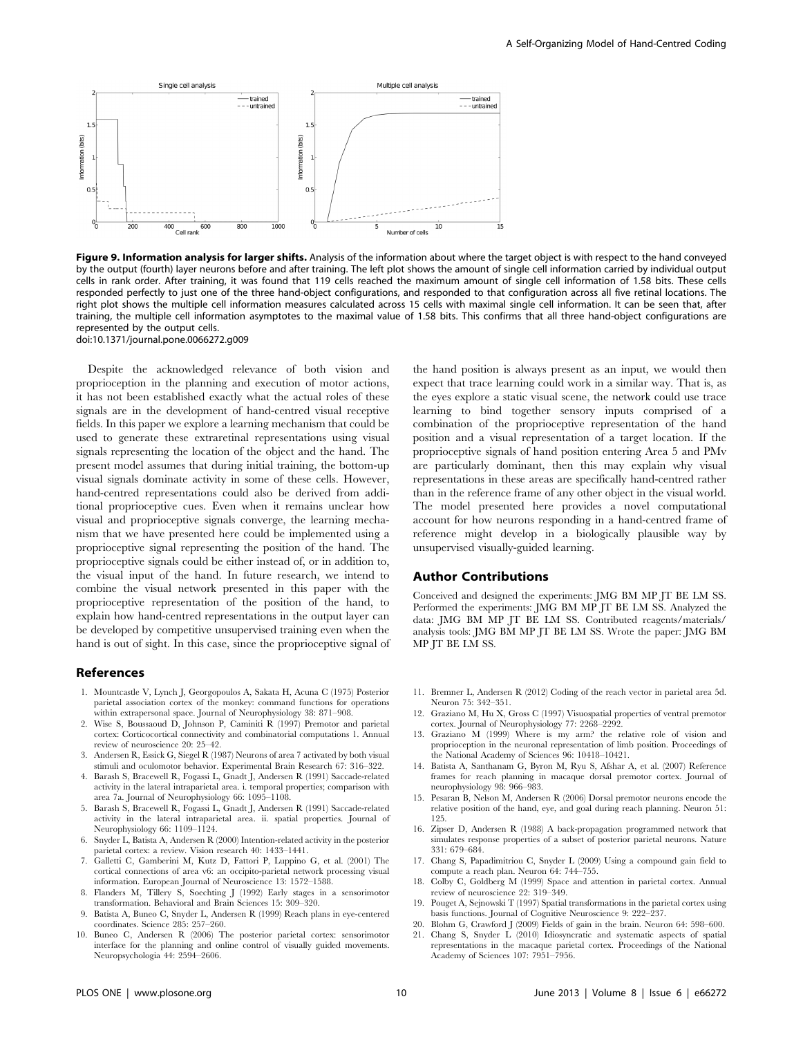

Figure 9. Information analysis for larger shifts. Analysis of the information about where the target object is with respect to the hand conveyed by the output (fourth) layer neurons before and after training. The left plot shows the amount of single cell information carried by individual output cells in rank order. After training, it was found that 119 cells reached the maximum amount of single cell information of 1.58 bits. These cells responded perfectly to just one of the three hand-object configurations, and responded to that configuration across all five retinal locations. The right plot shows the multiple cell information measures calculated across 15 cells with maximal single cell information. It can be seen that, after training, the multiple cell information asymptotes to the maximal value of 1.58 bits. This confirms that all three hand-object configurations are represented by the output cells. doi:10.1371/journal.pone.0066272.g009

Despite the acknowledged relevance of both vision and proprioception in the planning and execution of motor actions, it has not been established exactly what the actual roles of these signals are in the development of hand-centred visual receptive fields. In this paper we explore a learning mechanism that could be used to generate these extraretinal representations using visual signals representing the location of the object and the hand. The present model assumes that during initial training, the bottom-up visual signals dominate activity in some of these cells. However, hand-centred representations could also be derived from additional proprioceptive cues. Even when it remains unclear how visual and proprioceptive signals converge, the learning mechanism that we have presented here could be implemented using a proprioceptive signal representing the position of the hand. The proprioceptive signals could be either instead of, or in addition to, the visual input of the hand. In future research, we intend to combine the visual network presented in this paper with the proprioceptive representation of the position of the hand, to explain how hand-centred representations in the output layer can be developed by competitive unsupervised training even when the hand is out of sight. In this case, since the proprioceptive signal of

#### References

- 1. Mountcastle V, Lynch J, Georgopoulos A, Sakata H, Acuna C (1975) Posterior parietal association cortex of the monkey: command functions for operations within extrapersonal space. Journal of Neurophysiology 38: 871–908.
- 2. Wise S, Boussaoud D, Johnson P, Caminiti R (1997) Premotor and parietal cortex: Corticocortical connectivity and combinatorial computations 1. Annual review of neuroscience 20: 25–42.
- 3. Andersen R, Essick G, Siegel R (1987) Neurons of area 7 activated by both visual stimuli and oculomotor behavior. Experimental Brain Research 67: 316–322.
- 4. Barash S, Bracewell R, Fogassi L, Gnadt J, Andersen R (1991) Saccade-related activity in the lateral intraparietal area. i. temporal properties; comparison with area 7a. Journal of Neurophysiology 66: 1095–1108.
- 5. Barash S, Bracewell R, Fogassi L, Gnadt J, Andersen R (1991) Saccade-related activity in the lateral intraparietal area. ii. spatial properties. Journal of Neurophysiology 66: 1109-1124.
- 6. Snyder L, Batista A, Andersen R (2000) Intention-related activity in the posterior parietal cortex: a review. Vision research 40: 1433–1441.
- 7. Galletti C, Gamberini M, Kutz D, Fattori P, Luppino G, et al. (2001) The cortical connections of area v6: an occipito-parietal network processing visual information. European Journal of Neuroscience 13: 1572–1588.
- 8. Flanders M, Tillery S, Soechting J (1992) Early stages in a sensorimotor transformation. Behavioral and Brain Sciences 15: 309–320.
- 9. Batista A, Buneo C, Snyder L, Andersen R (1999) Reach plans in eye-centered coordinates. Science 285: 257–260.
- 10. Buneo C, Andersen R (2006) The posterior parietal cortex: sensorimotor interface for the planning and online control of visually guided movements. Neuropsychologia 44: 2594–2606.

the hand position is always present as an input, we would then expect that trace learning could work in a similar way. That is, as the eyes explore a static visual scene, the network could use trace learning to bind together sensory inputs comprised of a combination of the proprioceptive representation of the hand position and a visual representation of a target location. If the proprioceptive signals of hand position entering Area 5 and PMv are particularly dominant, then this may explain why visual representations in these areas are specifically hand-centred rather than in the reference frame of any other object in the visual world. The model presented here provides a novel computational account for how neurons responding in a hand-centred frame of reference might develop in a biologically plausible way by unsupervised visually-guided learning.

#### Author Contributions

Conceived and designed the experiments: JMG BM MP JT BE LM SS. Performed the experiments: JMG BM MP JT BE LM SS. Analyzed the data: JMG BM MP JT BE LM SS. Contributed reagents/materials/ analysis tools: JMG BM MP JT BE LM SS. Wrote the paper: JMG BM MP JT BE LM SS.

- 11. Bremner L, Andersen R (2012) Coding of the reach vector in parietal area 5d. Neuron 75: 342–351.
- 12. Graziano M, Hu X, Gross C (1997) Visuospatial properties of ventral premotor cortex. Journal of Neurophysiology 77: 2268–2292.
- 13. Graziano M (1999) Where is my arm? the relative role of vision and proprioception in the neuronal representation of limb position. Proceedings of the National Academy of Sciences 96: 10418–10421.
- 14. Batista A, Santhanam G, Byron M, Ryu S, Afshar A, et al. (2007) Reference frames for reach planning in macaque dorsal premotor cortex. Journal of neurophysiology 98: 966–983.
- 15. Pesaran B, Nelson M, Andersen R (2006) Dorsal premotor neurons encode the relative position of the hand, eye, and goal during reach planning. Neuron 51: 125.
- 16. Zipser D, Andersen R (1988) A back-propagation programmed network that simulates response properties of a subset of posterior parietal neurons. Nature 331: 679–684.
- 17. Chang S, Papadimitriou C, Snyder L (2009) Using a compound gain field to compute a reach plan. Neuron 64: 744–755.
- 18. Colby C, Goldberg M (1999) Space and attention in parietal cortex. Annual review of neuroscience 22: 319–349.
- 19. Pouget A, Sejnowski T (1997) Spatial transformations in the parietal cortex using basis functions. Journal of Cognitive Neuroscience 9: 222–237.
- 20. Blohm G, Crawford J (2009) Fields of gain in the brain. Neuron 64: 598–600. 21. Chang S, Snyder L (2010) Idiosyncratic and systematic aspects of spatial